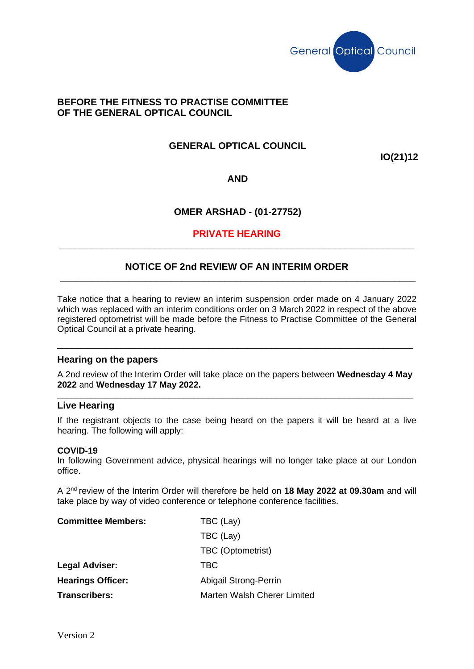

# **BEFORE THE FITNESS TO PRACTISE COMMITTEE OF THE GENERAL OPTICAL COUNCIL**

# **GENERAL OPTICAL COUNCIL**

**IO(21)12**

**AND**

# **OMER ARSHAD - (01-27752)**

### **PRIVATE HEARING \_\_\_\_\_\_\_\_\_\_\_\_\_\_\_\_\_\_\_\_\_\_\_\_\_\_\_\_\_\_\_\_\_\_\_\_\_\_\_\_\_\_\_\_\_\_\_\_\_\_\_\_\_\_\_\_\_\_\_\_\_\_\_\_\_\_\_**

### **NOTICE OF 2nd REVIEW OF AN INTERIM ORDER \_\_\_\_\_\_\_\_\_\_\_\_\_\_\_\_\_\_\_\_\_\_\_\_\_\_\_\_\_\_\_\_\_\_\_\_\_\_\_\_\_\_\_\_\_\_\_\_\_\_\_\_\_\_\_\_\_\_\_\_\_\_\_\_\_\_\_**

Take notice that a hearing to review an interim suspension order made on 4 January 2022 which was replaced with an interim conditions order on 3 March 2022 in respect of the above registered optometrist will be made before the Fitness to Practise Committee of the General Optical Council at a private hearing.

### **Hearing on the papers**

A 2nd review of the Interim Order will take place on the papers between **Wednesday 4 May 2022** and **Wednesday 17 May 2022.** 

\_\_\_\_\_\_\_\_\_\_\_\_\_\_\_\_\_\_\_\_\_\_\_\_\_\_\_\_\_\_\_\_\_\_\_\_\_\_\_\_\_\_\_\_\_\_\_\_\_\_\_\_\_\_\_\_\_\_\_\_\_\_\_\_\_\_\_\_\_\_\_\_\_

\_\_\_\_\_\_\_\_\_\_\_\_\_\_\_\_\_\_\_\_\_\_\_\_\_\_\_\_\_\_\_\_\_\_\_\_\_\_\_\_\_\_\_\_\_\_\_\_\_\_\_\_\_\_\_\_\_\_\_\_\_\_\_\_\_\_\_\_\_\_\_\_\_

#### **Live Hearing**

If the registrant objects to the case being heard on the papers it will be heard at a live hearing. The following will apply:

#### **COVID-19**

In following Government advice, physical hearings will no longer take place at our London office.

A 2 nd review of the Interim Order will therefore be held on **18 May 2022 at 09.30am** and will take place by way of video conference or telephone conference facilities.

| <b>Committee Members:</b> | TBC (Lay)                   |
|---------------------------|-----------------------------|
|                           | TBC (Lay)                   |
|                           | TBC (Optometrist)           |
| <b>Legal Adviser:</b>     | TBC                         |
| <b>Hearings Officer:</b>  | Abigail Strong-Perrin       |
| <b>Transcribers:</b>      | Marten Walsh Cherer Limited |